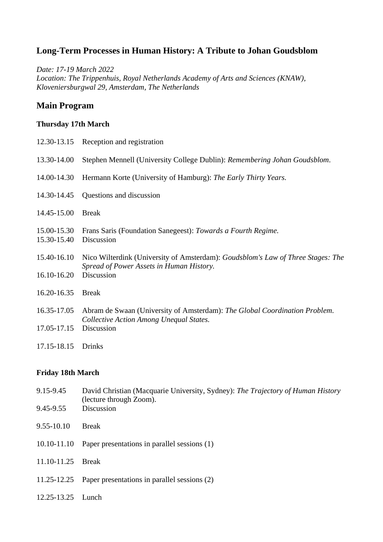## **Long-Term Processes in Human History: A Tribute to Johan Goudsblom**

*Date: 17-19 March 2022 Location: The Trippenhuis, Royal Netherlands Academy of Arts and Sciences (KNAW), Kloveniersburgwal 29, Amsterdam, The Netherlands* 

## **Main Program**

#### **Thursday 17th March**

|                            | 12.30-13.15 Reception and registration                                                                                                    |
|----------------------------|-------------------------------------------------------------------------------------------------------------------------------------------|
| 13.30-14.00                | Stephen Mennell (University College Dublin): Remembering Johan Goudsblom.                                                                 |
| 14.00-14.30                | Hermann Korte (University of Hamburg): The Early Thirty Years.                                                                            |
| 14.30-14.45                | Questions and discussion                                                                                                                  |
| 14.45-15.00                | <b>Break</b>                                                                                                                              |
| 15.00-15.30<br>15.30-15.40 | Frans Saris (Foundation Sanegeest): Towards a Fourth Regime.<br>Discussion                                                                |
| 15.40-16.10<br>16.10-16.20 | Nico Wilterdink (University of Amsterdam): Goudsblom's Law of Three Stages: The<br>Spread of Power Assets in Human History.<br>Discussion |
| 16.20-16.35                | <b>Break</b>                                                                                                                              |
| 16.35-17.05                | Abram de Swaan (University of Amsterdam): The Global Coordination Problem.                                                                |
| 17.05-17.15                | Collective Action Among Unequal States.<br>Discussion                                                                                     |
| 17.15-18.15                | <b>Drinks</b>                                                                                                                             |

# **Friday 18th March**

- 9.15-9.45 David Christian (Macquarie University, Sydney): *The Trajectory of Human History* (lecture through Zoom). 9.45-9.55 Discussion 9.55-10.10 Break
- 10.10-11.10 Paper presentations in parallel sessions (1)
- 11.10-11.25 Break
- 11.25-12.25 Paper presentations in parallel sessions (2)
- 12.25-13.25 Lunch